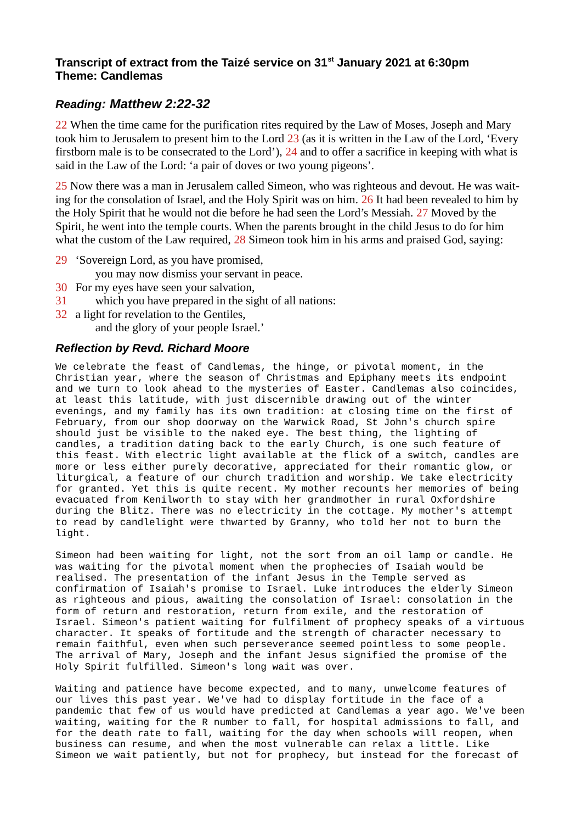## **Transcript of extract from the Taizé service on 31st January 2021 at 6:30pm Theme: Candlemas**

## *Reading: Matthew 2:22-32*

22 When the time came for the purification rites required by the Law of Moses, Joseph and Mary took him to Jerusalem to present him to the Lord 23 (as it is written in the Law of the Lord, 'Every firstborn male is to be consecrated to the Lord'), 24 and to offer a sacrifice in keeping with what is said in the Law of the Lord: 'a pair of doves or two young pigeons'.

25 Now there was a man in Jerusalem called Simeon, who was righteous and devout. He was waiting for the consolation of Israel, and the Holy Spirit was on him. 26 It had been revealed to him by the Holy Spirit that he would not die before he had seen the Lord's Messiah. 27 Moved by the Spirit, he went into the temple courts. When the parents brought in the child Jesus to do for him what the custom of the Law required, 28 Simeon took him in his arms and praised God, saying:

- 29 'Sovereign Lord, as you have promised,
	- you may now dismiss your servant in peace.
- 30 For my eyes have seen your salvation,
- 31 which you have prepared in the sight of all nations:
- 32 a light for revelation to the Gentiles,

and the glory of your people Israel.'

## *Reflection by Revd. Richard Moore*

We celebrate the feast of Candlemas, the hinge, or pivotal moment, in the Christian year, where the season of Christmas and Epiphany meets its endpoint and we turn to look ahead to the mysteries of Easter. Candlemas also coincides, at least this latitude, with just discernible drawing out of the winter evenings, and my family has its own tradition: at closing time on the first of February, from our shop doorway on the Warwick Road, St John's church spire should just be visible to the naked eye. The best thing, the lighting of candles, a tradition dating back to the early Church, is one such feature of this feast. With electric light available at the flick of a switch, candles are more or less either purely decorative, appreciated for their romantic glow, or liturgical, a feature of our church tradition and worship. We take electricity for granted. Yet this is quite recent. My mother recounts her memories of being evacuated from Kenilworth to stay with her grandmother in rural Oxfordshire during the Blitz. There was no electricity in the cottage. My mother's attempt to read by candlelight were thwarted by Granny, who told her not to burn the light.

Simeon had been waiting for light, not the sort from an oil lamp or candle. He was waiting for the pivotal moment when the prophecies of Isaiah would be realised. The presentation of the infant Jesus in the Temple served as confirmation of Isaiah's promise to Israel. Luke introduces the elderly Simeon as righteous and pious, awaiting the consolation of Israel: consolation in the form of return and restoration, return from exile, and the restoration of Israel. Simeon's patient waiting for fulfilment of prophecy speaks of a virtuous character. It speaks of fortitude and the strength of character necessary to remain faithful, even when such perseverance seemed pointless to some people. The arrival of Mary, Joseph and the infant Jesus signified the promise of the Holy Spirit fulfilled. Simeon's long wait was over.

Waiting and patience have become expected, and to many, unwelcome features of our lives this past year. We've had to display fortitude in the face of a pandemic that few of us would have predicted at Candlemas a year ago. We've been waiting, waiting for the R number to fall, for hospital admissions to fall, and for the death rate to fall, waiting for the day when schools will reopen, when business can resume, and when the most vulnerable can relax a little. Like Simeon we wait patiently, but not for prophecy, but instead for the forecast of